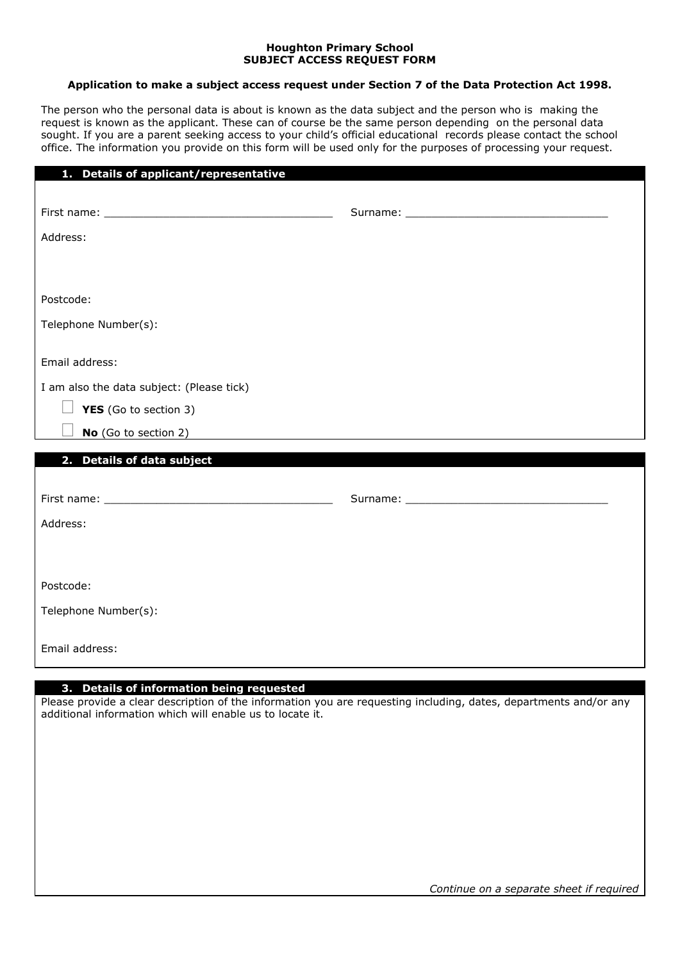## **Houghton Primary School SUBJECT ACCESS REQUEST FORM**

## **Application to make a subject access request under Section 7 of the Data Protection Act 1998.**

The person who the personal data is about is known as the data subject and the person who is making the request is known as the applicant. These can of course be the same person depending on the personal data sought. If you are a parent seeking access to your child's official educational records please contact the school office. The information you provide on this form will be used only for the purposes of processing your request.

| 1. Details of applicant/representative    |  |
|-------------------------------------------|--|
|                                           |  |
|                                           |  |
| Address:                                  |  |
|                                           |  |
|                                           |  |
|                                           |  |
| Postcode:                                 |  |
| Telephone Number(s):                      |  |
|                                           |  |
| Email address:                            |  |
| I am also the data subject: (Please tick) |  |
| YES (Go to section 3)                     |  |
| No (Go to section 2)                      |  |
|                                           |  |
| 2. Details of data subject                |  |
|                                           |  |
|                                           |  |
| Address:                                  |  |
|                                           |  |
|                                           |  |
| Postcode:                                 |  |
|                                           |  |
| Telephone Number(s):                      |  |
|                                           |  |
| Email address:                            |  |
|                                           |  |

## **3. Details of information being requested**

Please provide a clear description of the information you are requesting including, dates, departments and/or any additional information which will enable us to locate it.